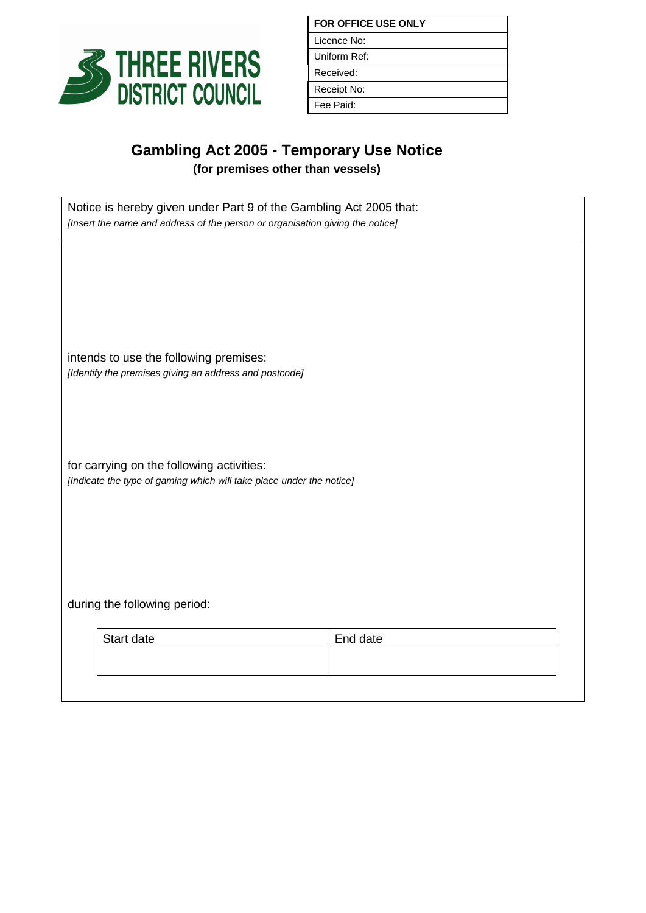

| <b>FOR OFFICE USE ONLY</b> |
|----------------------------|
| Licence No:                |
| Uniform Ref:               |
| Received:                  |
| Receipt No:                |
| Fee Paid:                  |

## **Gambling Act 2005 - Temporary Use Notice**

**(for premises other than vessels)**

| Notice is hereby given under Part 9 of the Gambling Act 2005 that:<br>[Insert the name and address of the person or organisation giving the notice] |          |  |
|-----------------------------------------------------------------------------------------------------------------------------------------------------|----------|--|
| intends to use the following premises:<br>[Identify the premises giving an address and postcode]                                                    |          |  |
| for carrying on the following activities:<br>[Indicate the type of gaming which will take place under the notice]                                   |          |  |
| during the following period:                                                                                                                        |          |  |
| Start date                                                                                                                                          | End date |  |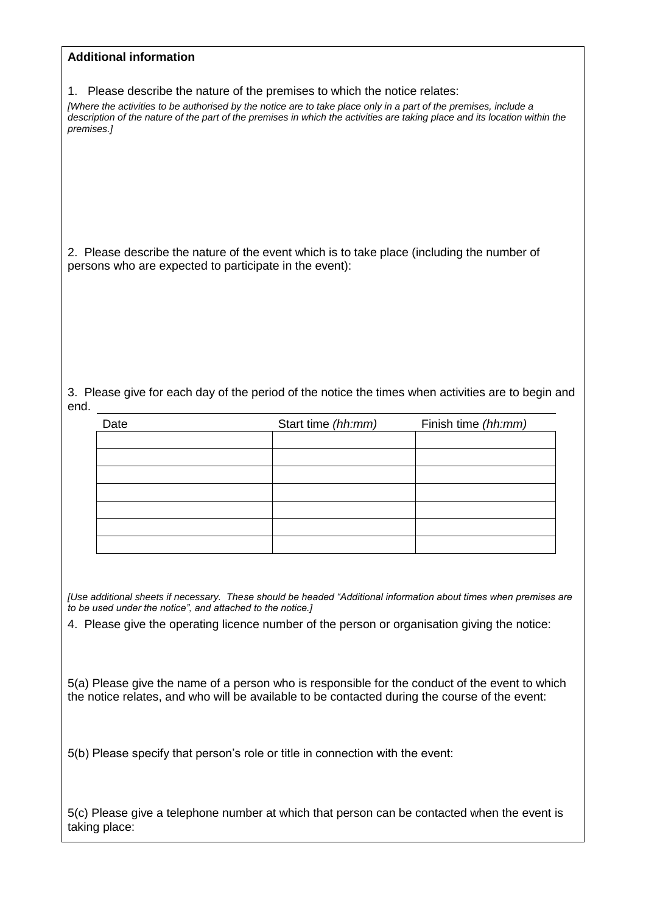| <b>Additional information</b>                                                                                                                                                                  |                    |                     |
|------------------------------------------------------------------------------------------------------------------------------------------------------------------------------------------------|--------------------|---------------------|
|                                                                                                                                                                                                |                    |                     |
| 1. Please describe the nature of the premises to which the notice relates:<br>[Where the activities to be authorised by the notice are to take place only in a part of the premises, include a |                    |                     |
| description of the nature of the part of the premises in which the activities are taking place and its location within the<br>premises.]                                                       |                    |                     |
|                                                                                                                                                                                                |                    |                     |
|                                                                                                                                                                                                |                    |                     |
|                                                                                                                                                                                                |                    |                     |
| 2. Please describe the nature of the event which is to take place (including the number of                                                                                                     |                    |                     |
| persons who are expected to participate in the event):                                                                                                                                         |                    |                     |
|                                                                                                                                                                                                |                    |                     |
|                                                                                                                                                                                                |                    |                     |
|                                                                                                                                                                                                |                    |                     |
| 3. Please give for each day of the period of the notice the times when activities are to begin and                                                                                             |                    |                     |
| end.                                                                                                                                                                                           |                    |                     |
| Date                                                                                                                                                                                           | Start time (hh:mm) | Finish time (hh:mm) |
|                                                                                                                                                                                                |                    |                     |
|                                                                                                                                                                                                |                    |                     |
|                                                                                                                                                                                                |                    |                     |
|                                                                                                                                                                                                |                    |                     |
|                                                                                                                                                                                                |                    |                     |
|                                                                                                                                                                                                |                    |                     |
|                                                                                                                                                                                                |                    |                     |
| [Use additional sheets if necessary. These should be headed "Additional information about times when premises are                                                                              |                    |                     |
| to be used under the notice", and attached to the notice.]                                                                                                                                     |                    |                     |
| 4. Please give the operating licence number of the person or organisation giving the notice:                                                                                                   |                    |                     |

5(a) Please give the name of a person who is responsible for the conduct of the event to which the notice relates, and who will be available to be contacted during the course of the event:

5(b) Please specify that person's role or title in connection with the event:

5(c) Please give a telephone number at which that person can be contacted when the event is taking place: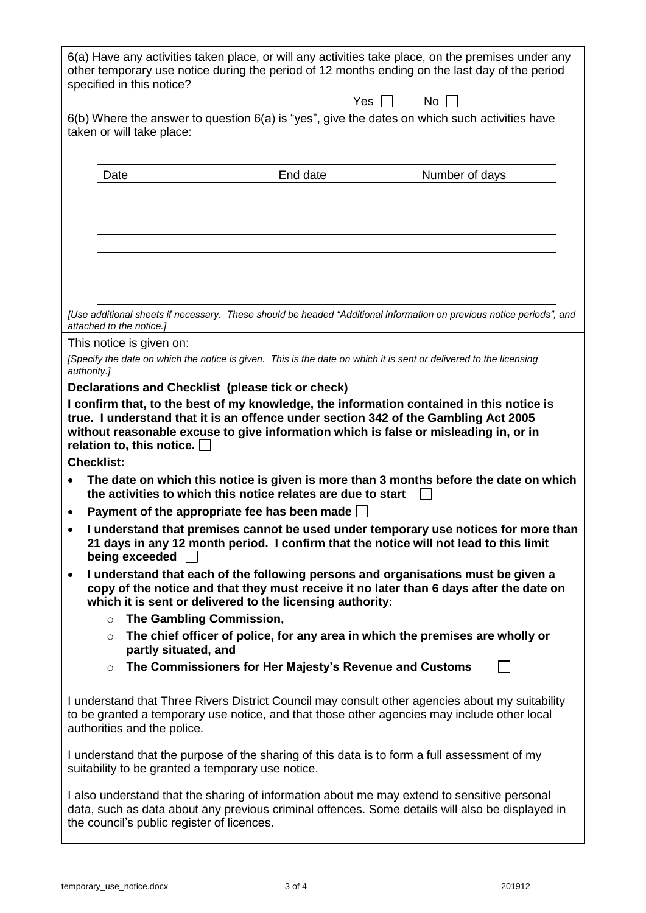| 6(a) Have any activities taken place, or will any activities take place, on the premises under any |
|----------------------------------------------------------------------------------------------------|
| other temporary use notice during the period of 12 months ending on the last day of the period     |
| specified in this notice?                                                                          |

Yes  $\Box$  No  $\Box$ 

| $6(b)$ Where the answer to question $6(a)$ is "yes", give the dates on which such activities have |  |
|---------------------------------------------------------------------------------------------------|--|
| taken or will take place:                                                                         |  |

| Date | End date | Number of days |
|------|----------|----------------|
|      |          |                |
|      |          |                |
|      |          |                |
|      |          |                |
|      |          |                |
|      |          |                |
|      |          |                |

*[Use additional sheets if necessary. These should be headed "Additional information on previous notice periods", and attached to the notice.]*

This notice is given on:

|             | [Specify the date on which the notice is given. This is the date on which it is sent or delivered to the licensing |
|-------------|--------------------------------------------------------------------------------------------------------------------|
| authority.] |                                                                                                                    |

**Declarations and Checklist (please tick or check)**

**I confirm that, to the best of my knowledge, the information contained in this notice is true. I understand that it is an offence under section 342 of the Gambling Act 2005 without reasonable excuse to give information which is false or misleading in, or in relation to, this notice.**

**Checklist:**

- **The date on which this notice is given is more than 3 months before the date on which the activities to which this notice relates are due to start**
- **Payment of the appropriate fee has been made**
- **I understand that premises cannot be used under temporary use notices for more than 21 days in any 12 month period. I confirm that the notice will not lead to this limit being exceeded**
- **I understand that each of the following persons and organisations must be given a copy of the notice and that they must receive it no later than 6 days after the date on which it is sent or delivered to the licensing authority:**
	- o **The Gambling Commission,**
	- o **The chief officer of police, for any area in which the premises are wholly or partly situated, and**
	- o **The Commissioners for Her Majesty's Revenue and Customs**

 $\Box$ 

I understand that Three Rivers District Council may consult other agencies about my suitability to be granted a temporary use notice, and that those other agencies may include other local authorities and the police.

I understand that the purpose of the sharing of this data is to form a full assessment of my suitability to be granted a temporary use notice.

I also understand that the sharing of information about me may extend to sensitive personal data, such as data about any previous criminal offences. Some details will also be displayed in the council's public register of licences.